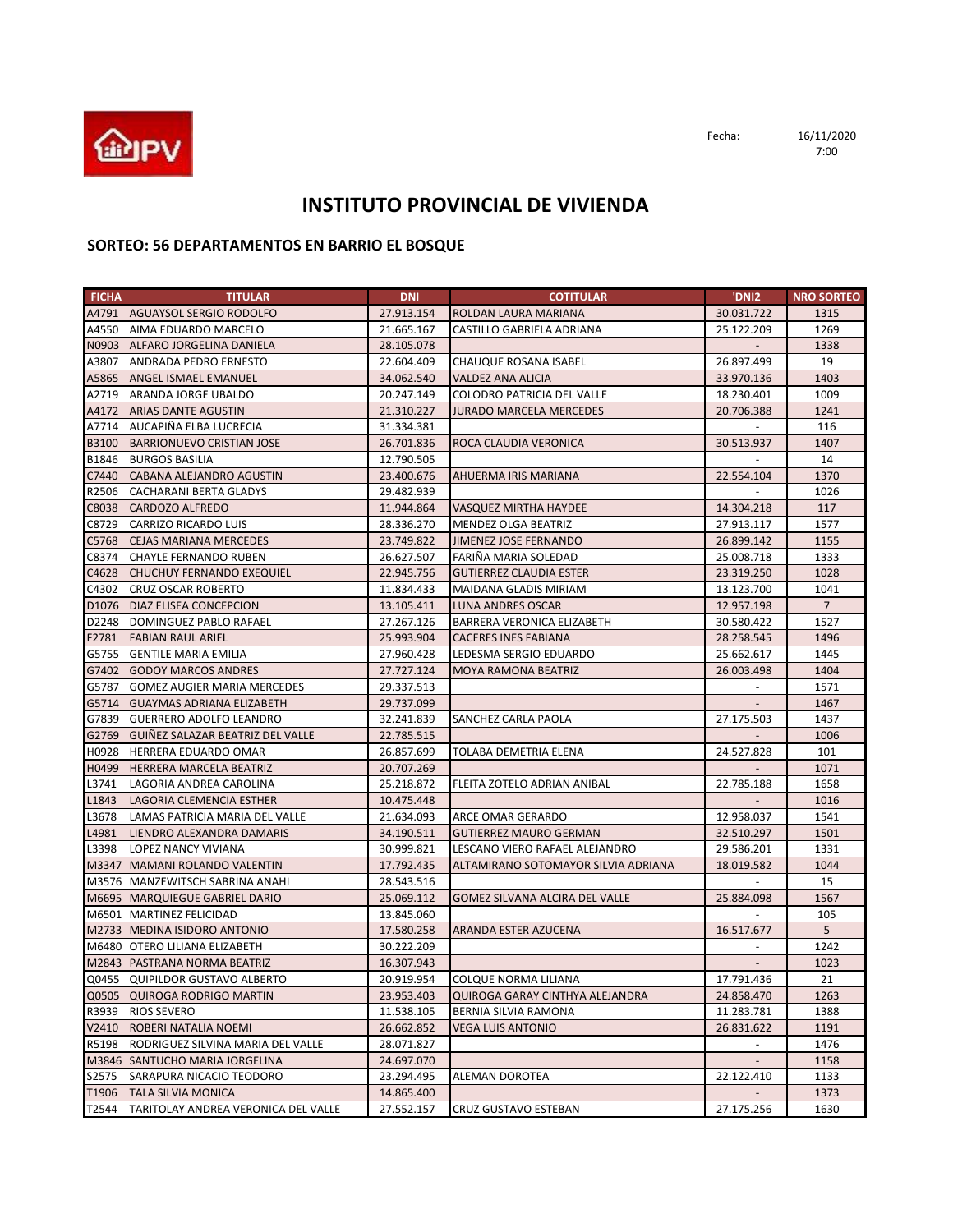

Fecha: 16/11/2020 7:00

## **INSTITUTO PROVINCIAL DE VIVIENDA**

## **SORTEO: 56 DEPARTAMENTOS EN BARRIO EL BOSQUE**

| <b>FICHA</b>      | <b>TITULAR</b>                      | <b>DNI</b> | <b>COTITULAR</b>                    | 'DNI2      | <b>NRO SORTEO</b> |
|-------------------|-------------------------------------|------------|-------------------------------------|------------|-------------------|
|                   | A4791 AGUAYSOL SERGIO RODOLFO       | 27.913.154 | ROLDAN LAURA MARIANA                | 30.031.722 | 1315              |
|                   | A4550 AIMA EDUARDO MARCELO          | 21.665.167 | CASTILLO GABRIELA ADRIANA           | 25.122.209 | 1269              |
|                   | N0903 ALFARO JORGELINA DANIELA      | 28.105.078 |                                     |            | 1338              |
| A3807             | <b>ANDRADA PEDRO ERNESTO</b>        | 22.604.409 | CHAUQUE ROSANA ISABEL               | 26.897.499 | 19                |
| A5865             | <b>ANGEL ISMAEL EMANUEL</b>         | 34.062.540 | VALDEZ ANA ALICIA                   | 33.970.136 | 1403              |
|                   | A2719 ARANDA JORGE UBALDO           | 20.247.149 | COLODRO PATRICIA DEL VALLE          | 18.230.401 | 1009              |
| A4172             | <b>ARIAS DANTE AGUSTIN</b>          | 21.310.227 | <b>JURADO MARCELA MERCEDES</b>      | 20.706.388 | 1241              |
| A7714             | AUCAPIÑA ELBA LUCRECIA              | 31.334.381 |                                     |            | 116               |
| B3100             | <b>BARRIONUEVO CRISTIAN JOSE</b>    | 26.701.836 | ROCA CLAUDIA VERONICA               | 30.513.937 | 1407              |
| B1846             | <b>BURGOS BASILIA</b>               | 12.790.505 |                                     |            | 14                |
| C7440             | CABANA ALEJANDRO AGUSTIN            | 23.400.676 | AHUERMA IRIS MARIANA                | 22.554.104 | 1370              |
| R2506             | CACHARANI BERTA GLADYS              | 29.482.939 |                                     |            | 1026              |
| C8038             | CARDOZO ALFREDO                     | 11.944.864 | <b>VASQUEZ MIRTHA HAYDEE</b>        | 14.304.218 | 117               |
| C8729             | CARRIZO RICARDO LUIS                | 28.336.270 | MENDEZ OLGA BEATRIZ                 | 27.913.117 | 1577              |
| C5768             | <b>CEJAS MARIANA MERCEDES</b>       | 23.749.822 | JIMENEZ JOSE FERNANDO               | 26.899.142 | 1155              |
| C8374             | <b>CHAYLE FERNANDO RUBEN</b>        | 26.627.507 | FARIÑA MARIA SOLEDAD                | 25.008.718 | 1333              |
| C4628             | <b>CHUCHUY FERNANDO EXEQUIEL</b>    | 22.945.756 | <b>GUTIERREZ CLAUDIA ESTER</b>      | 23.319.250 | 1028              |
| C4302             | <b>CRUZ OSCAR ROBERTO</b>           | 11.834.433 | MAIDANA GLADIS MIRIAM               | 13.123.700 | 1041              |
| D <sub>1076</sub> | <b>DIAZ ELISEA CONCEPCION</b>       | 13.105.411 | LUNA ANDRES OSCAR                   | 12.957.198 | $7\overline{ }$   |
|                   | D2248   DOMINGUEZ PABLO RAFAEL      | 27.267.126 | BARRERA VERONICA ELIZABETH          | 30.580.422 | 1527              |
| F2781             | <b>FABIAN RAUL ARIEL</b>            | 25.993.904 | <b>CACERES INES FABIANA</b>         | 28.258.545 | 1496              |
|                   | G5755 GENTILE MARIA EMILIA          | 27.960.428 | LEDESMA SERGIO EDUARDO              | 25.662.617 | 1445              |
| G7402             | <b>GODOY MARCOS ANDRES</b>          | 27.727.124 | <b>MOYA RAMONA BEATRIZ</b>          | 26.003.498 | 1404              |
|                   | G5787 GOMEZ AUGIER MARIA MERCEDES   | 29.337.513 |                                     |            | 1571              |
| G5714             | <b>GUAYMAS ADRIANA ELIZABETH</b>    | 29.737.099 |                                     |            | 1467              |
| G7839             | <b>GUERRERO ADOLFO LEANDRO</b>      | 32.241.839 | SANCHEZ CARLA PAOLA                 | 27.175.503 | 1437              |
| G2769             | GUIÑEZ SALAZAR BEATRIZ DEL VALLE    | 22.785.515 |                                     |            | 1006              |
| H0928             | <b>HERRERA EDUARDO OMAR</b>         | 26.857.699 | TOLABA DEMETRIA ELENA               | 24.527.828 | 101               |
| H0499             | <b>HERRERA MARCELA BEATRIZ</b>      | 20.707.269 |                                     |            | 1071              |
| L3741             | LAGORIA ANDREA CAROLINA             | 25.218.872 | FLEITA ZOTELO ADRIAN ANIBAL         | 22.785.188 | 1658              |
| L1843             | LAGORIA CLEMENCIA ESTHER            | 10.475.448 |                                     |            | 1016              |
| L3678             | LAMAS PATRICIA MARIA DEL VALLE      | 21.634.093 | ARCE OMAR GERARDO                   | 12.958.037 | 1541              |
| L4981             | LIENDRO ALEXANDRA DAMARIS           | 34.190.511 | <b>GUTIERREZ MAURO GERMAN</b>       | 32.510.297 | 1501              |
| L3398             | LOPEZ NANCY VIVIANA                 | 30.999.821 | LESCANO VIERO RAFAEL ALEJANDRO      | 29.586.201 | 1331              |
|                   | M3347 MAMANI ROLANDO VALENTIN       | 17.792.435 | ALTAMIRANO SOTOMAYOR SILVIA ADRIANA | 18.019.582 | 1044              |
|                   | M3576   MANZEWITSCH SABRINA ANAHI   | 28.543.516 |                                     | $\sim$     | 15                |
|                   | M6695   MARQUIEGUE GABRIEL DARIO    | 25.069.112 | GOMEZ SILVANA ALCIRA DEL VALLE      | 25.884.098 | 1567              |
|                   | M6501 MARTINEZ FELICIDAD            | 13.845.060 |                                     |            | 105               |
|                   | M2733   MEDINA ISIDORO ANTONIO      | 17.580.258 | ARANDA ESTER AZUCENA                | 16.517.677 | 5                 |
|                   | M6480 OTERO LILIANA ELIZABETH       | 30.222.209 |                                     |            | 1242              |
|                   | M2843   PASTRANA NORMA BEATRIZ      | 16.307.943 |                                     |            | 1023              |
|                   | Q0455 QUIPILDOR GUSTAVO ALBERTO     | 20.919.954 | COLQUE NORMA LILIANA                | 17.791.436 | 21                |
|                   | Q0505 QUIROGA RODRIGO MARTIN        | 23.953.403 | QUIROGA GARAY CINTHYA ALEJANDRA     | 24.858.470 | 1263              |
| R3939             | <b>RIOS SEVERO</b>                  | 11.538.105 | BERNIA SILVIA RAMONA                | 11.283.781 | 1388              |
| V2410             | ROBERI NATALIA NOEMI                | 26.662.852 | <b>VEGA LUIS ANTONIO</b>            | 26.831.622 | 1191              |
| R5198             | RODRIGUEZ SILVINA MARIA DEL VALLE   | 28.071.827 |                                     | $\sim$     | 1476              |
|                   | M3846 SANTUCHO MARIA JORGELINA      | 24.697.070 |                                     |            | 1158              |
| S2575             | SARAPURA NICACIO TEODORO            | 23.294.495 | ALEMAN DOROTEA                      | 22.122.410 | 1133              |
| T1906             | <b>TALA SILVIA MONICA</b>           | 14.865.400 |                                     |            | 1373              |
| T2544             | TARITOLAY ANDREA VERONICA DEL VALLE | 27.552.157 | CRUZ GUSTAVO ESTEBAN                | 27.175.256 | 1630              |